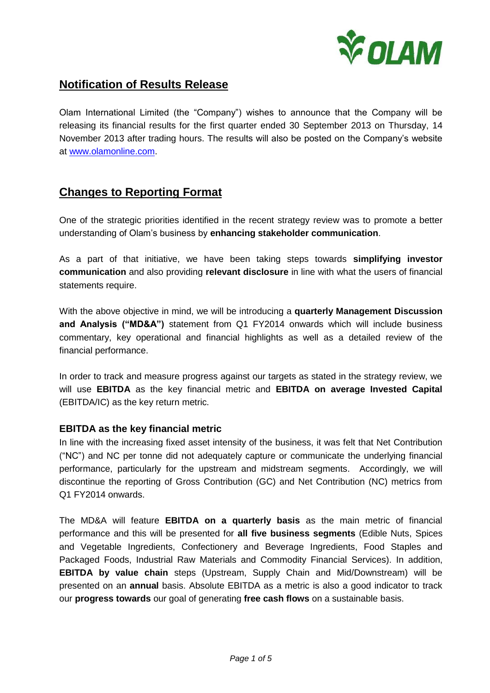

# **Notification of Results Release**

Olam International Limited (the "Company") wishes to announce that the Company will be releasing its financial results for the first quarter ended 30 September 2013 on Thursday, 14 November 2013 after trading hours. The results will also be posted on the Company's website at [www.olamonline.com.](http://www.olamonline.com/)

## **Changes to Reporting Format**

One of the strategic priorities identified in the recent strategy review was to promote a better understanding of Olam's business by **enhancing stakeholder communication**.

As a part of that initiative, we have been taking steps towards **simplifying investor communication** and also providing **relevant disclosure** in line with what the users of financial statements require.

With the above objective in mind, we will be introducing a **quarterly Management Discussion and Analysis ("MD&A")** statement from Q1 FY2014 onwards which will include business commentary, key operational and financial highlights as well as a detailed review of the financial performance.

In order to track and measure progress against our targets as stated in the strategy review, we will use **EBITDA** as the key financial metric and **EBITDA on average Invested Capital** (EBITDA/IC) as the key return metric.

### **EBITDA as the key financial metric**

In line with the increasing fixed asset intensity of the business, it was felt that Net Contribution ("NC") and NC per tonne did not adequately capture or communicate the underlying financial performance, particularly for the upstream and midstream segments. Accordingly, we will discontinue the reporting of Gross Contribution (GC) and Net Contribution (NC) metrics from Q1 FY2014 onwards.

The MD&A will feature **EBITDA on a quarterly basis** as the main metric of financial performance and this will be presented for **all five business segments** (Edible Nuts, Spices and Vegetable Ingredients, Confectionery and Beverage Ingredients, Food Staples and Packaged Foods, Industrial Raw Materials and Commodity Financial Services). In addition, **EBITDA by value chain** steps (Upstream, Supply Chain and Mid/Downstream) will be presented on an **annual** basis. Absolute EBITDA as a metric is also a good indicator to track our **progress towards** our goal of generating **free cash flows** on a sustainable basis.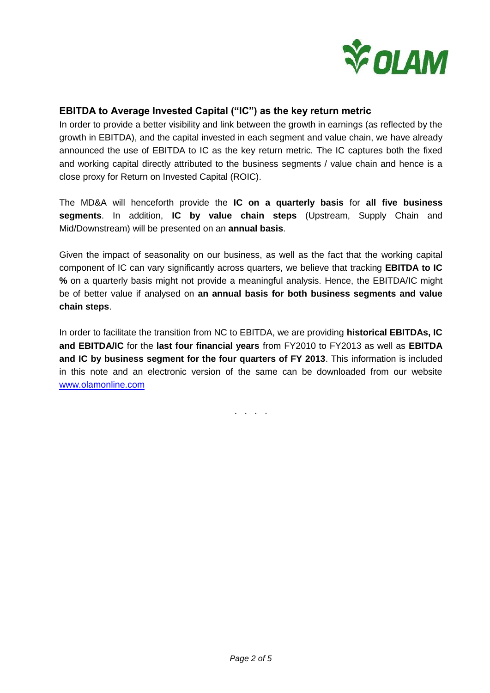

## **EBITDA to Average Invested Capital ("IC") as the key return metric**

In order to provide a better visibility and link between the growth in earnings (as reflected by the growth in EBITDA), and the capital invested in each segment and value chain, we have already announced the use of EBITDA to IC as the key return metric. The IC captures both the fixed and working capital directly attributed to the business segments / value chain and hence is a close proxy for Return on Invested Capital (ROIC).

The MD&A will henceforth provide the **IC on a quarterly basis** for **all five business segments**. In addition, **IC by value chain steps** (Upstream, Supply Chain and Mid/Downstream) will be presented on an **annual basis**.

Given the impact of seasonality on our business, as well as the fact that the working capital component of IC can vary significantly across quarters, we believe that tracking **EBITDA to IC %** on a quarterly basis might not provide a meaningful analysis. Hence, the EBITDA/IC might be of better value if analysed on **an annual basis for both business segments and value chain steps**.

In order to facilitate the transition from NC to EBITDA, we are providing **historical EBITDAs, IC and EBITDA/IC** for the **last four financial years** from FY2010 to FY2013 as well as **EBITDA and IC by business segment for the four quarters of FY 2013**. This information is included in this note and an electronic version of the same can be downloaded from our website [www.olamonline.com](http://www.olamonline.com/)

. . . .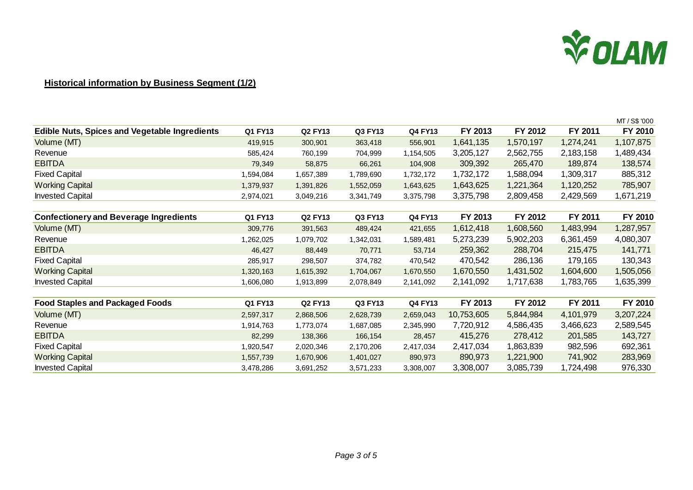

### **Historical information by Business Segment (1/2)**

|                                                      |                |                |           |                |            |           |           | MT / S\$ '000 |
|------------------------------------------------------|----------------|----------------|-----------|----------------|------------|-----------|-----------|---------------|
| <b>Edible Nuts, Spices and Vegetable Ingredients</b> | <b>Q1 FY13</b> | <b>Q2 FY13</b> | Q3 FY13   | <b>Q4 FY13</b> | FY 2013    | FY 2012   | FY 2011   | FY 2010       |
| Volume (MT)                                          | 419,915        | 300,901        | 363,418   | 556,901        | 1,641,135  | 1,570,197 | 1,274,241 | 1,107,875     |
| Revenue                                              | 585,424        | 760,199        | 704,999   | 1,154,505      | 3,205,127  | 2,562,755 | 2,183,158 | 1,489,434     |
| <b>EBITDA</b>                                        | 79,349         | 58,875         | 66,261    | 104,908        | 309,392    | 265,470   | 189,874   | 138,574       |
| <b>Fixed Capital</b>                                 | 1,594,084      | 1,657,389      | 1,789,690 | 1,732,172      | 1,732,172  | 1,588,094 | 1,309,317 | 885,312       |
| <b>Working Capital</b>                               | 1,379,937      | 1,391,826      | 1,552,059 | 1,643,625      | 1,643,625  | 1,221,364 | 1,120,252 | 785,907       |
| <b>Invested Capital</b>                              | 2,974,021      | 3,049,216      | 3,341,749 | 3,375,798      | 3,375,798  | 2,809,458 | 2,429,569 | 1,671,219     |
|                                                      |                |                |           |                |            |           |           |               |
| <b>Confectionery and Beverage Ingredients</b>        | <b>Q1 FY13</b> | <b>Q2 FY13</b> | Q3 FY13   | <b>Q4 FY13</b> | FY 2013    | FY 2012   | FY 2011   | FY 2010       |
| Volume (MT)                                          | 309,776        | 391,563        | 489,424   | 421,655        | 1,612,418  | 1,608,560 | 1,483,994 | 1,287,957     |
| Revenue                                              | 1,262,025      | 1,079,702      | 1,342,031 | 1,589,481      | 5,273,239  | 5,902,203 | 6,361,459 | 4,080,307     |
| <b>EBITDA</b>                                        | 46,427         | 88,449         | 70,771    | 53,714         | 259,362    | 288,704   | 215,475   | 141,771       |
| <b>Fixed Capital</b>                                 | 285,917        | 298,507        | 374,782   | 470,542        | 470,542    | 286,136   | 179,165   | 130,343       |
| <b>Working Capital</b>                               | 1,320,163      | 1,615,392      | 1,704,067 | 1,670,550      | 1,670,550  | 1,431,502 | 1,604,600 | 1,505,056     |
| <b>Invested Capital</b>                              | 1,606,080      | 1,913,899      | 2,078,849 | 2,141,092      | 2,141,092  | 1,717,638 | 1,783,765 | 1,635,399     |
|                                                      |                |                |           |                |            |           |           |               |
| <b>Food Staples and Packaged Foods</b>               | Q1 FY13        | <b>Q2 FY13</b> | Q3 FY13   | Q4 FY13        | FY 2013    | FY 2012   | FY 2011   | FY 2010       |
| Volume (MT)                                          | 2,597,317      | 2,868,506      | 2,628,739 | 2,659,043      | 10,753,605 | 5,844,984 | 4,101,979 | 3,207,224     |
| Revenue                                              | 1,914,763      | 1,773,074      | 1,687,085 | 2,345,990      | 7,720,912  | 4,586,435 | 3,466,623 | 2,589,545     |
| <b>EBITDA</b>                                        | 82,299         | 138,366        | 166,154   | 28,457         | 415,276    | 278,412   | 201,585   | 143,727       |
| <b>Fixed Capital</b>                                 | 1,920,547      | 2,020,346      | 2,170,206 | 2,417,034      | 2,417,034  | 1,863,839 | 982,596   | 692,361       |
| <b>Working Capital</b>                               | 1,557,739      | 1,670,906      | 1,401,027 | 890,973        | 890,973    | 1,221,900 | 741,902   | 283,969       |
| <b>Invested Capital</b>                              | 3,478,286      | 3,691,252      | 3,571,233 | 3,308,007      | 3,308,007  | 3,085,739 | 1,724,498 | 976,330       |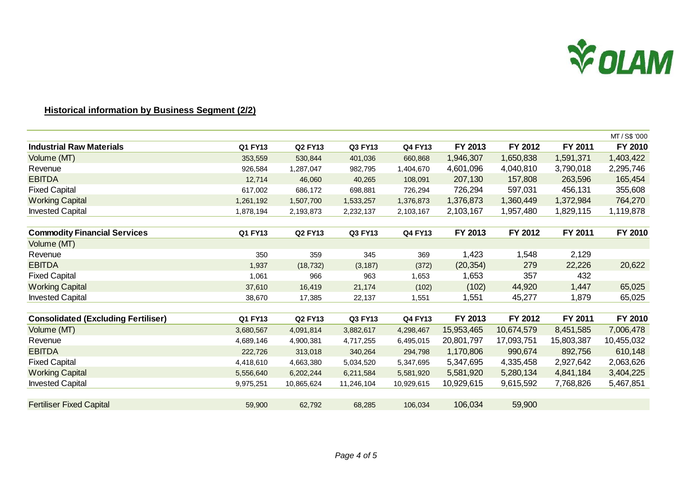

#### **Historical information by Business Segment (2/2)**

|                                            |           |                |            |                |            |            |            | MT / S\$ '000 |
|--------------------------------------------|-----------|----------------|------------|----------------|------------|------------|------------|---------------|
| <b>Industrial Raw Materials</b>            | Q1 FY13   | <b>Q2 FY13</b> | Q3 FY13    | <b>Q4 FY13</b> | FY 2013    | FY 2012    | FY 2011    | FY 2010       |
| Volume (MT)                                | 353,559   | 530,844        | 401,036    | 660,868        | 1,946,307  | 1,650,838  | 1,591,371  | 1,403,422     |
| Revenue                                    | 926,584   | 1,287,047      | 982,795    | 1,404,670      | 4,601,096  | 4,040,810  | 3,790,018  | 2,295,746     |
| <b>EBITDA</b>                              | 12,714    | 46,060         | 40,265     | 108,091        | 207,130    | 157,808    | 263,596    | 165,454       |
| <b>Fixed Capital</b>                       | 617,002   | 686,172        | 698,881    | 726,294        | 726,294    | 597,031    | 456,131    | 355,608       |
| <b>Working Capital</b>                     | 1,261,192 | 1,507,700      | 1,533,257  | 1,376,873      | 1,376,873  | 1,360,449  | 1,372,984  | 764,270       |
| <b>Invested Capital</b>                    | 1,878,194 | 2,193,873      | 2,232,137  | 2,103,167      | 2,103,167  | 1,957,480  | 1,829,115  | 1,119,878     |
|                                            |           |                |            |                |            |            |            |               |
| <b>Commodity Financial Services</b>        | Q1 FY13   | <b>Q2 FY13</b> | Q3 FY13    | <b>Q4 FY13</b> | FY 2013    | FY 2012    | FY 2011    | FY 2010       |
| Volume (MT)                                |           |                |            |                |            |            |            |               |
| Revenue                                    | 350       | 359            | 345        | 369            | 1,423      | 1,548      | 2,129      |               |
| <b>EBITDA</b>                              | 1,937     | (18, 732)      | (3, 187)   | (372)          | (20, 354)  | 279        | 22,226     | 20,622        |
| <b>Fixed Capital</b>                       | 1,061     | 966            | 963        | 1,653          | 1,653      | 357        | 432        |               |
| <b>Working Capital</b>                     | 37,610    | 16,419         | 21,174     | (102)          | (102)      | 44,920     | 1,447      | 65,025        |
| <b>Invested Capital</b>                    | 38,670    | 17,385         | 22,137     | 1,551          | 1,551      | 45,277     | 1,879      | 65,025        |
|                                            |           |                |            |                |            |            |            |               |
| <b>Consolidated (Excluding Fertiliser)</b> | Q1 FY13   | <b>Q2 FY13</b> | Q3 FY13    | <b>Q4 FY13</b> | FY 2013    | FY 2012    | FY 2011    | FY 2010       |
| Volume (MT)                                | 3,680,567 | 4,091,814      | 3,882,617  | 4,298,467      | 15,953,465 | 10,674,579 | 8,451,585  | 7,006,478     |
| Revenue                                    | 4,689,146 | 4,900,381      | 4,717,255  | 6,495,015      | 20,801,797 | 17,093,751 | 15,803,387 | 10,455,032    |
| <b>EBITDA</b>                              | 222,726   | 313,018        | 340,264    | 294,798        | 1,170,806  | 990,674    | 892,756    | 610,148       |
| <b>Fixed Capital</b>                       | 4,418,610 | 4,663,380      | 5,034,520  | 5,347,695      | 5,347,695  | 4,335,458  | 2,927,642  | 2,063,626     |
| <b>Working Capital</b>                     | 5,556,640 | 6,202,244      | 6,211,584  | 5,581,920      | 5,581,920  | 5,280,134  | 4,841,184  | 3,404,225     |
| <b>Invested Capital</b>                    | 9,975,251 | 10,865,624     | 11,246,104 | 10,929,615     | 10,929,615 | 9,615,592  | 7,768,826  | 5,467,851     |
|                                            |           |                |            |                |            |            |            |               |
| <b>Fertiliser Fixed Capital</b>            | 59,900    | 62,792         | 68,285     | 106,034        | 106,034    | 59,900     |            |               |